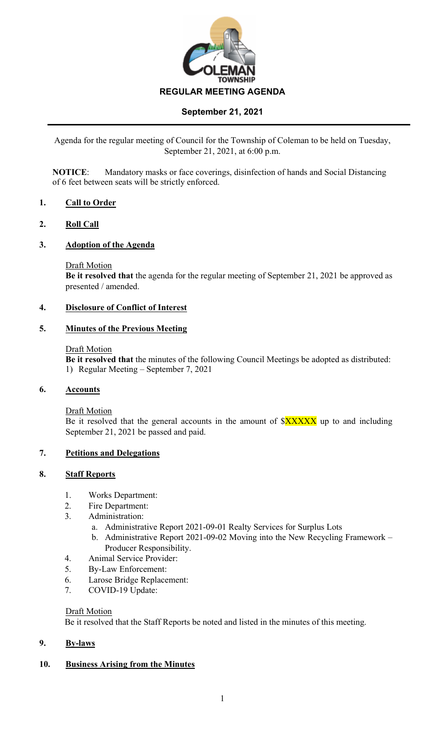

## **September 21, 2021**

Agenda for the regular meeting of Council for the Township of Coleman to be held on Tuesday, September 21, 2021, at 6:00 p.m.

**NOTICE**: Mandatory masks or face coverings, disinfection of hands and Social Distancing of 6 feet between seats will be strictly enforced.

### **1. Call to Order**

### **2. Roll Call**

### **3. Adoption of the Agenda**

Draft Motion

**Be it resolved that** the agenda for the regular meeting of September 21, 2021 be approved as presented / amended.

### **4. Disclosure of Conflict of Interest**

### **5. Minutes of the Previous Meeting**

#### Draft Motion

**Be it resolved that** the minutes of the following Council Meetings be adopted as distributed: 1) Regular Meeting – September 7, 2021

### **6. Accounts**

Draft Motion

Be it resolved that the general accounts in the amount of  $\frac{S}{X}$  $\frac{X}{X}$  up to and including September 21, 2021 be passed and paid.

### **7. Petitions and Delegations**

### **8. Staff Reports**

- 1. Works Department:
- 2. Fire Department:
- 3. Administration:
	- a. Administrative Report 2021-09-01 Realty Services for Surplus Lots
	- b. Administrative Report 2021-09-02 Moving into the New Recycling Framework Producer Responsibility.
- 4. Animal Service Provider:
- 5. By-Law Enforcement:
- 6. Larose Bridge Replacement:
- 7. COVID-19 Update:

### Draft Motion

Be it resolved that the Staff Reports be noted and listed in the minutes of this meeting.

### **9. By-laws**

# **10. Business Arising from the Minutes**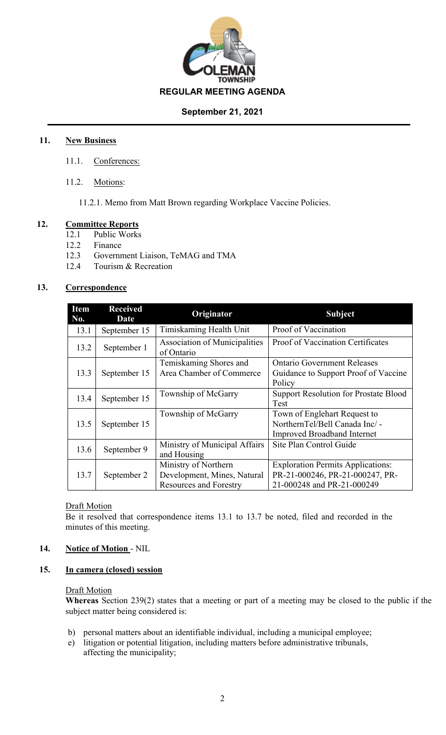

### **September 21, 2021**

## **11. New Business**

- 11.1. Conferences:
- 11.2. Motions:

11.2.1. Memo from Matt Brown regarding Workplace Vaccine Policies.

### **12. Committee Reports**

- 12.1 Public Works
- 12.2 Finance
- 12.3 Government Liaison, TeMAG and TMA
- 12.4 Tourism & Recreation

### **13. Correspondence**

| <b>Item</b><br>No. | <b>Received</b><br>Date | Originator                                         | <b>Subject</b>                                 |
|--------------------|-------------------------|----------------------------------------------------|------------------------------------------------|
| 13.1               | September 15            | Timiskaming Health Unit                            | Proof of Vaccination                           |
| 13.2               | September 1             | <b>Association of Municipalities</b><br>of Ontario | <b>Proof of Vaccination Certificates</b>       |
|                    |                         | Temiskaming Shores and                             | <b>Ontario Government Releases</b>             |
| 13.3               | September 15            | Area Chamber of Commerce                           | Guidance to Support Proof of Vaccine<br>Policy |
| 13.4               | September 15            | Township of McGarry                                | <b>Support Resolution for Prostate Blood</b>   |
|                    |                         |                                                    | Test                                           |
| 13.5               | September 15            | Township of McGarry                                | Town of Englehart Request to                   |
|                    |                         |                                                    | NorthernTel/Bell Canada Inc/ -                 |
|                    |                         |                                                    | <b>Improved Broadband Internet</b>             |
| 13.6               | September 9             | Ministry of Municipal Affairs                      | Site Plan Control Guide                        |
|                    |                         | and Housing                                        |                                                |
|                    |                         | Ministry of Northern                               | <b>Exploration Permits Applications:</b>       |
| 13.7               | September 2             | Development, Mines, Natural                        | PR-21-000246, PR-21-000247, PR-                |
|                    |                         | <b>Resources and Forestry</b>                      | 21-000248 and PR-21-000249                     |

### **Draft Motion**

Be it resolved that correspondence items 13.1 to 13.7 be noted, filed and recorded in the minutes of this meeting.

### **14. Notice of Motion** - NIL

### **15. In camera (closed) session**

### Draft Motion

**Whereas** Section 239(2) states that a meeting or part of a meeting may be closed to the public if the subject matter being considered is:

- b) personal matters about an identifiable individual, including a municipal employee;
- e) litigation or potential litigation, including matters before administrative tribunals, affecting the municipality;